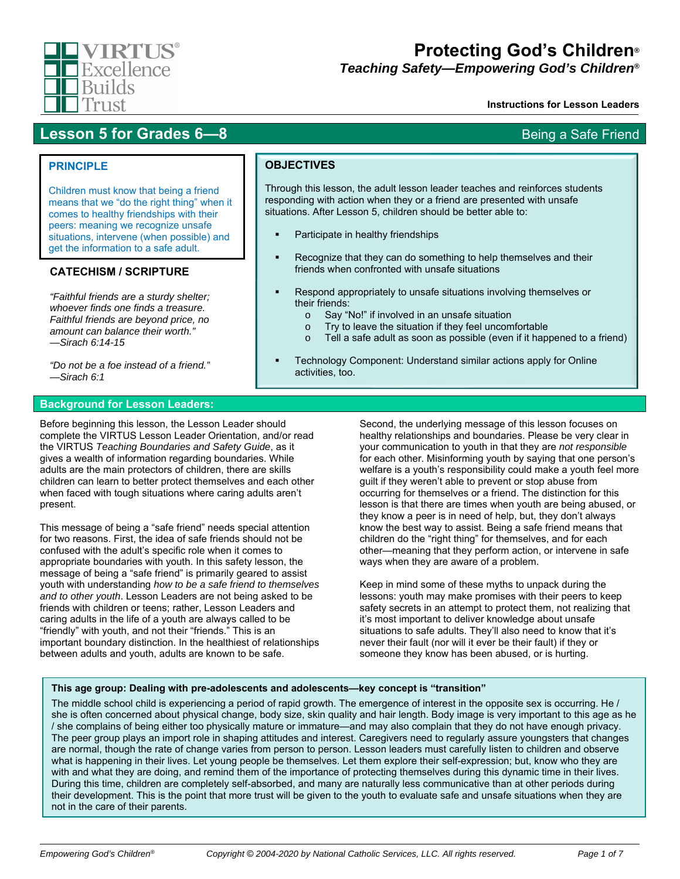

# **Protecting God's Children***®*

*Teaching Safety—Empowering God's Children®*

### **Instructions for Lesson Leaders**

# **Lesson 5 for Grades 6—8** Being a Safe Friend

## **PRINCIPLE**

Children must know that being a friend means that we "do the right thing" when it comes to healthy friendships with their peers: meaning we recognize unsafe situations, intervene (when possible) and get the information to a safe adult.

# **CATECHISM / SCRIPTURE**

*"Faithful friends are a sturdy shelter; whoever finds one finds a treasure. Faithful friends are beyond price, no amount can balance their worth." —Sirach 6:14-15* 

*"Do not be a foe instead of a friend." —Sirach 6:1* 

## **Background for Lesson Leaders:**

Before beginning this lesson, the Lesson Leader should complete the VIRTUS Lesson Leader Orientation, and/or read the VIRTUS *Teaching Boundaries and Safety Guide*, as it gives a wealth of information regarding boundaries. While adults are the main protectors of children, there are skills children can learn to better protect themselves and each other when faced with tough situations where caring adults aren't present.

This message of being a "safe friend" needs special attention for two reasons. First, the idea of safe friends should not be confused with the adult's specific role when it comes to appropriate boundaries with youth. In this safety lesson, the message of being a "safe friend" is primarily geared to assist youth with understanding *how to be a safe friend to themselves and to other youth*. Lesson Leaders are not being asked to be friends with children or teens; rather, Lesson Leaders and caring adults in the life of a youth are always called to be "friendly" with youth, and not their "friends." This is an important boundary distinction. In the healthiest of relationships between adults and youth, adults are known to be safe.

**OBJECTIVES**

Through this lesson, the adult lesson leader teaches and reinforces students responding with action when they or a friend are presented with unsafe situations. After Lesson 5, children should be better able to:

- Participate in healthy friendships
- Recognize that they can do something to help themselves and their friends when confronted with unsafe situations
- Respond appropriately to unsafe situations involving themselves or their friends:
	- o Say "No!" if involved in an unsafe situation
	- o Try to leave the situation if they feel uncomfortable
	- o Tell a safe adult as soon as possible (even if it happened to a friend)
- Technology Component: Understand similar actions apply for Online activities, too.

Second, the underlying message of this lesson focuses on healthy relationships and boundaries. Please be very clear in your communication to youth in that they are *not responsible* for each other. Misinforming youth by saying that one person's welfare is a youth's responsibility could make a youth feel more guilt if they weren't able to prevent or stop abuse from occurring for themselves or a friend. The distinction for this lesson is that there are times when youth are being abused, or they know a peer is in need of help, but, they don't always know the best way to assist. Being a safe friend means that children do the "right thing" for themselves, and for each other—meaning that they perform action, or intervene in safe ways when they are aware of a problem.

Keep in mind some of these myths to unpack during the lessons: youth may make promises with their peers to keep safety secrets in an attempt to protect them, not realizing that it's most important to deliver knowledge about unsafe situations to safe adults. They'll also need to know that it's never their fault (nor will it ever be their fault) if they or someone they know has been abused, or is hurting.

### **This age group: Dealing with pre-adolescents and adolescents—key concept is "transition"**

The middle school child is experiencing a period of rapid growth. The emergence of interest in the opposite sex is occurring. He / she is often concerned about physical change, body size, skin quality and hair length. Body image is very important to this age as he / she complains of being either too physically mature or immature—and may also complain that they do not have enough privacy. The peer group plays an import role in shaping attitudes and interest. Caregivers need to regularly assure youngsters that changes are normal, though the rate of change varies from person to person. Lesson leaders must carefully listen to children and observe what is happening in their lives. Let young people be themselves. Let them explore their self-expression; but, know who they are with and what they are doing, and remind them of the importance of protecting themselves during this dynamic time in their lives. During this time, children are completely self-absorbed, and many are naturally less communicative than at other periods during their development. This is the point that more trust will be given to the youth to evaluate safe and unsafe situations when they are not in the care of their parents.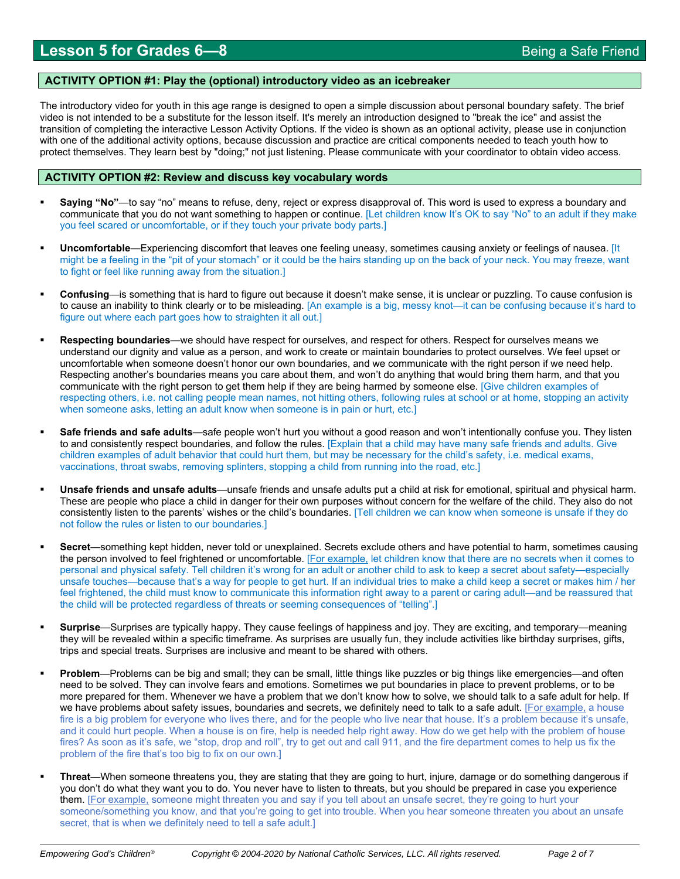### **ACTIVITY OPTION #1: Play the (optional) introductory video as an icebreaker**

The introductory video for youth in this age range is designed to open a simple discussion about personal boundary safety. The brief video is not intended to be a substitute for the lesson itself. It's merely an introduction designed to "break the ice" and assist the transition of completing the interactive Lesson Activity Options. If the video is shown as an optional activity, please use in conjunction with one of the additional activity options, because discussion and practice are critical components needed to teach youth how to protect themselves. They learn best by "doing;" not just listening. Please communicate with your coordinator to obtain video access.

### **ACTIVITY OPTION #2: Review and discuss key vocabulary words**

- **Saying "No"**—to say "no" means to refuse, deny, reject or express disapproval of. This word is used to express a boundary and communicate that you do not want something to happen or continue. [Let children know It's OK to say "No" to an adult if they make you feel scared or uncomfortable, or if they touch your private body parts.]
- **Uncomfortable**—Experiencing discomfort that leaves one feeling uneasy, sometimes causing anxiety or feelings of nausea. [It might be a feeling in the "pit of your stomach" or it could be the hairs standing up on the back of your neck. You may freeze, want to fight or feel like running away from the situation.]
- **Confusing**—is something that is hard to figure out because it doesn't make sense, it is unclear or puzzling. To cause confusion is to cause an inability to think clearly or to be misleading. [An example is a big, messy knot—it can be confusing because it's hard to figure out where each part goes how to straighten it all out.]
- **Respecting boundaries**—we should have respect for ourselves, and respect for others. Respect for ourselves means we understand our dignity and value as a person, and work to create or maintain boundaries to protect ourselves. We feel upset or uncomfortable when someone doesn't honor our own boundaries, and we communicate with the right person if we need help. Respecting another's boundaries means you care about them, and won't do anything that would bring them harm, and that you communicate with the right person to get them help if they are being harmed by someone else. [Give children examples of respecting others, i.e. not calling people mean names, not hitting others, following rules at school or at home, stopping an activity when someone asks, letting an adult know when someone is in pain or hurt, etc.]
- **Safe friends and safe adults**—safe people won't hurt you without a good reason and won't intentionally confuse you. They listen to and consistently respect boundaries, and follow the rules. [Explain that a child may have many safe friends and adults. Give children examples of adult behavior that could hurt them, but may be necessary for the child's safety, i.e. medical exams, vaccinations, throat swabs, removing splinters, stopping a child from running into the road, etc.]
- **Unsafe friends and unsafe adults**—unsafe friends and unsafe adults put a child at risk for emotional, spiritual and physical harm. These are people who place a child in danger for their own purposes without concern for the welfare of the child. They also do not consistently listen to the parents' wishes or the child's boundaries. [Tell children we can know when someone is unsafe if they do not follow the rules or listen to our boundaries.]
- **Secret**—something kept hidden, never told or unexplained. Secrets exclude others and have potential to harm, sometimes causing the person involved to feel frightened or uncomfortable. [For example, let children know that there are no secrets when it comes to personal and physical safety. Tell children it's wrong for an adult or another child to ask to keep a secret about safety—especially unsafe touches—because that's a way for people to get hurt. If an individual tries to make a child keep a secret or makes him / her feel frightened, the child must know to communicate this information right away to a parent or caring adult—and be reassured that the child will be protected regardless of threats or seeming consequences of "telling".]
- **Surprise**—Surprises are typically happy. They cause feelings of happiness and joy. They are exciting, and temporary—meaning they will be revealed within a specific timeframe. As surprises are usually fun, they include activities like birthday surprises, gifts, trips and special treats. Surprises are inclusive and meant to be shared with others.
- **Problem**—Problems can be big and small; they can be small, little things like puzzles or big things like emergencies—and often need to be solved. They can involve fears and emotions. Sometimes we put boundaries in place to prevent problems, or to be more prepared for them. Whenever we have a problem that we don't know how to solve, we should talk to a safe adult for help. If we have problems about safety issues, boundaries and secrets, we definitely need to talk to a safe adult. [For example, a house fire is a big problem for everyone who lives there, and for the people who live near that house. It's a problem because it's unsafe, and it could hurt people. When a house is on fire, help is needed help right away. How do we get help with the problem of house fires? As soon as it's safe, we "stop, drop and roll", try to get out and call 911, and the fire department comes to help us fix the problem of the fire that's too big to fix on our own.]
- **Threat**—When someone threatens you, they are stating that they are going to hurt, injure, damage or do something dangerous if you don't do what they want you to do. You never have to listen to threats, but you should be prepared in case you experience them. [For example, someone might threaten you and say if you tell about an unsafe secret, they're going to hurt your someone/something you know, and that you're going to get into trouble. When you hear someone threaten you about an unsafe secret, that is when we definitely need to tell a safe adult.]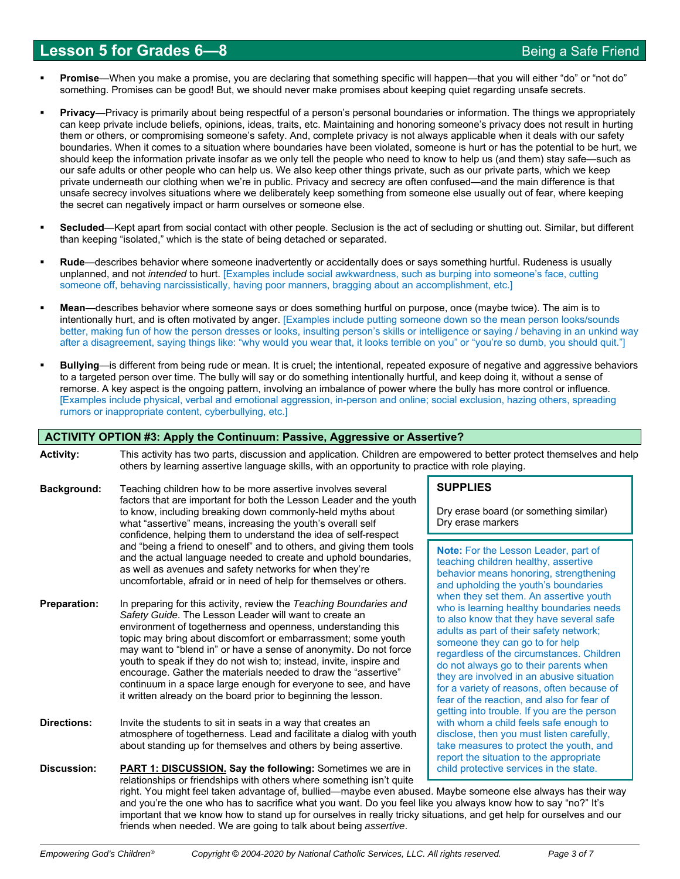# **Lesson 5 for Grades 6—8** Being a Safe Friend

- **Promise**—When you make a promise, you are declaring that something specific will happen—that you will either "do" or "not do" something. Promises can be good! But, we should never make promises about keeping quiet regarding unsafe secrets.
- **Privacy**—Privacy is primarily about being respectful of a person's personal boundaries or information. The things we appropriately can keep private include beliefs, opinions, ideas, traits, etc. Maintaining and honoring someone's privacy does not result in hurting them or others, or compromising someone's safety. And, complete privacy is not always applicable when it deals with our safety boundaries. When it comes to a situation where boundaries have been violated, someone is hurt or has the potential to be hurt, we should keep the information private insofar as we only tell the people who need to know to help us (and them) stay safe—such as our safe adults or other people who can help us. We also keep other things private, such as our private parts, which we keep private underneath our clothing when we're in public. Privacy and secrecy are often confused—and the main difference is that unsafe secrecy involves situations where we deliberately keep something from someone else usually out of fear, where keeping the secret can negatively impact or harm ourselves or someone else.
- **Secluded**—Kept apart from social contact with other people. Seclusion is the act of secluding or shutting out. Similar, but different than keeping "isolated," which is the state of being detached or separated.
- **Rude**—describes behavior where someone inadvertently or accidentally does or says something hurtful. Rudeness is usually unplanned, and not *intended* to hurt. [Examples include social awkwardness, such as burping into someone's face, cutting someone off, behaving narcissistically, having poor manners, bragging about an accomplishment, etc.]
- **Mean**—describes behavior where someone says or does something hurtful on purpose, once (maybe twice). The aim is to intentionally hurt, and is often motivated by anger. [Examples include putting someone down so the mean person looks/sounds better, making fun of how the person dresses or looks, insulting person's skills or intelligence or saying / behaving in an unkind way after a disagreement, saying things like: "why would you wear that, it looks terrible on you" or "you're so dumb, you should quit."]
- **Bullying**—is different from being rude or mean. It is cruel; the intentional, repeated exposure of negative and aggressive behaviors to a targeted person over time. The bully will say or do something intentionally hurtful, and keep doing it, without a sense of remorse. A key aspect is the ongoing pattern, involving an imbalance of power where the bully has more control or influence. [Examples include physical, verbal and emotional aggression, in-person and online; social exclusion, hazing others, spreading rumors or inappropriate content, cyberbullying, etc.]

|                     | ACTIVITY OPTION #3: Apply the Continuum: Passive, Aggressive or Assertive?                                                                                                                                                                                                                                                                                                                                                                                                                                                                                                                                       |                                                                                                                                                                                                                                                                                                                                                                                                                                                                                                                                                                                                                                                                                                                                                                                                                                            |  |  |  |  |  |  |  |  |
|---------------------|------------------------------------------------------------------------------------------------------------------------------------------------------------------------------------------------------------------------------------------------------------------------------------------------------------------------------------------------------------------------------------------------------------------------------------------------------------------------------------------------------------------------------------------------------------------------------------------------------------------|--------------------------------------------------------------------------------------------------------------------------------------------------------------------------------------------------------------------------------------------------------------------------------------------------------------------------------------------------------------------------------------------------------------------------------------------------------------------------------------------------------------------------------------------------------------------------------------------------------------------------------------------------------------------------------------------------------------------------------------------------------------------------------------------------------------------------------------------|--|--|--|--|--|--|--|--|
| <b>Activity:</b>    |                                                                                                                                                                                                                                                                                                                                                                                                                                                                                                                                                                                                                  | This activity has two parts, discussion and application. Children are empowered to better protect themselves and help<br>others by learning assertive language skills, with an opportunity to practice with role playing.                                                                                                                                                                                                                                                                                                                                                                                                                                                                                                                                                                                                                  |  |  |  |  |  |  |  |  |
| Background:         | Teaching children how to be more assertive involves several<br>factors that are important for both the Lesson Leader and the youth<br>to know, including breaking down commonly-held myths about<br>what "assertive" means, increasing the youth's overall self<br>confidence, helping them to understand the idea of self-respect                                                                                                                                                                                                                                                                               | <b>SUPPLIES</b><br>Dry erase board (or something similar)<br>Dry erase markers                                                                                                                                                                                                                                                                                                                                                                                                                                                                                                                                                                                                                                                                                                                                                             |  |  |  |  |  |  |  |  |
|                     | and "being a friend to oneself" and to others, and giving them tools<br>and the actual language needed to create and uphold boundaries,<br>as well as avenues and safety networks for when they're<br>uncomfortable, afraid or in need of help for themselves or others.                                                                                                                                                                                                                                                                                                                                         | Note: For the Lesson Leader, part of<br>teaching children healthy, assertive<br>behavior means honoring, strengthening<br>and upholding the youth's boundaries<br>when they set them. An assertive youth<br>who is learning healthy boundaries needs<br>to also know that they have several safe<br>adults as part of their safety network;<br>someone they can go to for help<br>regardless of the circumstances. Children<br>do not always go to their parents when<br>they are involved in an abusive situation<br>for a variety of reasons, often because of<br>fear of the reaction, and also for fear of<br>getting into trouble. If you are the person<br>with whom a child feels safe enough to<br>disclose, then you must listen carefully,<br>take measures to protect the youth, and<br>report the situation to the appropriate |  |  |  |  |  |  |  |  |
| <b>Preparation:</b> | In preparing for this activity, review the Teaching Boundaries and<br>Safety Guide. The Lesson Leader will want to create an<br>environment of togetherness and openness, understanding this<br>topic may bring about discomfort or embarrassment; some youth<br>may want to "blend in" or have a sense of anonymity. Do not force<br>youth to speak if they do not wish to; instead, invite, inspire and<br>encourage. Gather the materials needed to draw the "assertive"<br>continuum in a space large enough for everyone to see, and have<br>it written already on the board prior to beginning the lesson. |                                                                                                                                                                                                                                                                                                                                                                                                                                                                                                                                                                                                                                                                                                                                                                                                                                            |  |  |  |  |  |  |  |  |
| <b>Directions:</b>  | Invite the students to sit in seats in a way that creates an<br>atmosphere of togetherness. Lead and facilitate a dialog with youth<br>about standing up for themselves and others by being assertive.                                                                                                                                                                                                                                                                                                                                                                                                           |                                                                                                                                                                                                                                                                                                                                                                                                                                                                                                                                                                                                                                                                                                                                                                                                                                            |  |  |  |  |  |  |  |  |
| <b>Discussion:</b>  | PART 1: DISCUSSION. Say the following: Sometimes we are in<br>child protective services in the state.<br>relationships or friendships with others where something isn't quite<br>right. You might feel taken advantage of, bullied—maybe even abused. Maybe someone else always has their way<br>and you're the one who has to sacrifice what you want. Do you feel like you always know how to say "no?" It's<br>important that we know how to stand up for ourselves in really tricky situations, and get help for ourselves and our<br>friends when needed. We are going to talk about being assertive.       |                                                                                                                                                                                                                                                                                                                                                                                                                                                                                                                                                                                                                                                                                                                                                                                                                                            |  |  |  |  |  |  |  |  |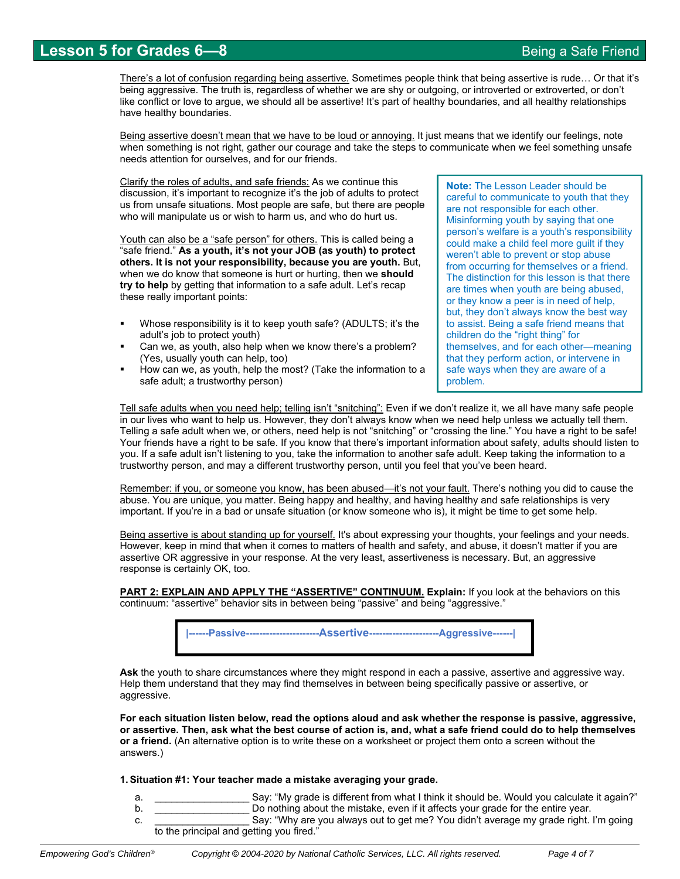# **Lesson 5 for Grades 6—8** Being a Safe Friend

There's a lot of confusion regarding being assertive. Sometimes people think that being assertive is rude... Or that it's being aggressive. The truth is, regardless of whether we are shy or outgoing, or introverted or extroverted, or don't like conflict or love to argue, we should all be assertive! It's part of healthy boundaries, and all healthy relationships have healthy boundaries.

Being assertive doesn't mean that we have to be loud or annoying. It just means that we identify our feelings, note when something is not right, gather our courage and take the steps to communicate when we feel something unsafe needs attention for ourselves, and for our friends.

Clarify the roles of adults, and safe friends: As we continue this discussion, it's important to recognize it's the job of adults to protect us from unsafe situations. Most people are safe, but there are people who will manipulate us or wish to harm us, and who do hurt us.

Youth can also be a "safe person" for others. This is called being a "safe friend." **As a youth, it's not your JOB (as youth) to protect others. It is not your responsibility, because you are youth.** But, when we do know that someone is hurt or hurting, then we **should try to help** by getting that information to a safe adult. Let's recap these really important points:

- Whose responsibility is it to keep youth safe? (ADULTS; it's the adult's job to protect youth)
- Can we, as youth, also help when we know there's a problem? (Yes, usually youth can help, too)
- How can we, as youth, help the most? (Take the information to a safe adult; a trustworthy person)

**Note:** The Lesson Leader should be careful to communicate to youth that they are not responsible for each other. Misinforming youth by saying that one person's welfare is a youth's responsibility could make a child feel more guilt if they weren't able to prevent or stop abuse from occurring for themselves or a friend. The distinction for this lesson is that there are times when youth are being abused, or they know a peer is in need of help, but, they don't always know the best way to assist. Being a safe friend means that children do the "right thing" for themselves, and for each other—meaning that they perform action, or intervene in safe ways when they are aware of a problem.

Tell safe adults when you need help; telling isn't "snitching": Even if we don't realize it, we all have many safe people in our lives who want to help us. However, they don't always know when we need help unless we actually tell them. Telling a safe adult when we, or others, need help is not "snitching" or "crossing the line." You have a right to be safe! Your friends have a right to be safe. If you know that there's important information about safety, adults should listen to you. If a safe adult isn't listening to you, take the information to another safe adult. Keep taking the information to a trustworthy person, and may a different trustworthy person, until you feel that you've been heard.

Remember: if you, or someone you know, has been abused—it's not your fault. There's nothing you did to cause the abuse. You are unique, you matter. Being happy and healthy, and having healthy and safe relationships is very important. If you're in a bad or unsafe situation (or know someone who is), it might be time to get some help.

Being assertive is about standing up for yourself. It's about expressing your thoughts, your feelings and your needs. However, keep in mind that when it comes to matters of health and safety, and abuse, it doesn't matter if you are assertive OR aggressive in your response. At the very least, assertiveness is necessary. But, an aggressive response is certainly OK, too.

**PART 2: EXPLAIN AND APPLY THE "ASSERTIVE" CONTINUUM. Explain:** If you look at the behaviors on this continuum: "assertive" behavior sits in between being "passive" and being "aggressive."



**Ask** the youth to share circumstances where they might respond in each a passive, assertive and aggressive way. Help them understand that they may find themselves in between being specifically passive or assertive, or aggressive.

**For each situation listen below, read the options aloud and ask whether the response is passive, aggressive, or assertive. Then, ask what the best course of action is, and, what a safe friend could do to help themselves or a friend.** (An alternative option is to write these on a worksheet or project them onto a screen without the answers.)

#### **1. Situation #1: Your teacher made a mistake averaging your grade.**

- a.  $\blacksquare$  Say: "My grade is different from what I think it should be. Would you calculate it again?"
- b. **Do nothing about the mistake, even if it affects your grade for the entire year.**
- c. **Example 2** Say: "Why are you always out to get me? You didn't average my grade right. I'm going to the principal and getting you fired."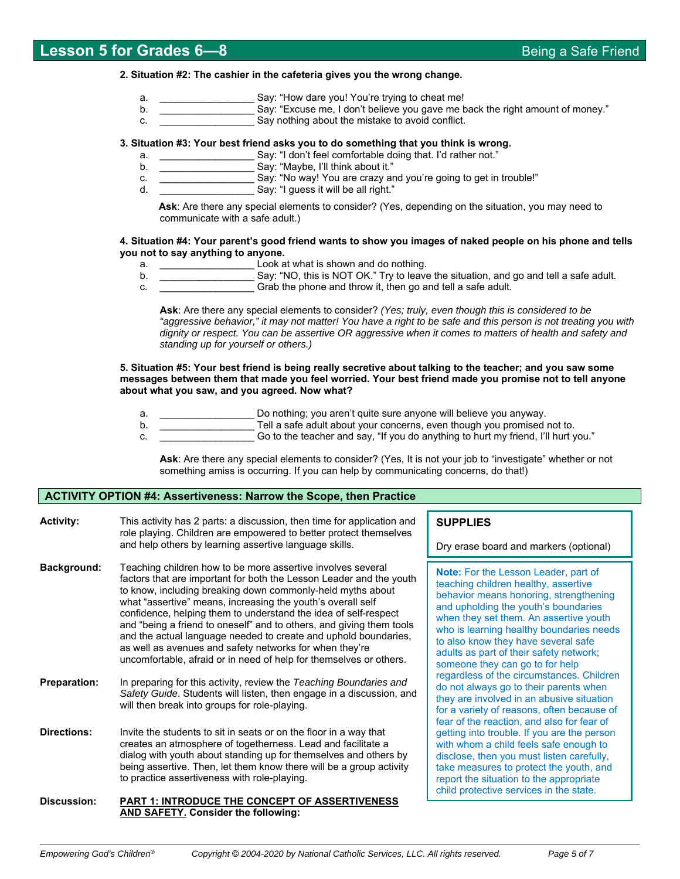#### **2. Situation #2: The cashier in the cafeteria gives you the wrong change.**

- a.  $\sum_{i=1}^{\infty}$  Say: "How dare you! You're trying to cheat me!
- b. **EXCULL EXAMPLE SAY: "EXCUSE ME, I don't believe you gave me back the right amount of money."** Say: "Excuse me, I don't believe you gave me back the right amount of money."
- c. Say nothing about the mistake to avoid conflict.

### **3. Situation #3: Your best friend asks you to do something that you think is wrong.**

- a. \_\_\_\_\_\_\_\_\_\_\_\_\_\_\_\_\_ Say: "I don't feel comfortable doing that. I'd rather not."
- b. **Example 20** Say: "Maybe, I'll think about it."
- c. \_\_\_\_\_\_\_\_\_\_\_\_\_\_\_\_\_ Say: "No way! You are crazy and you're going to get in trouble!"
- d. **Example 20** Say: "I guess it will be all right."

 **Ask**: Are there any special elements to consider? (Yes, depending on the situation, you may need to communicate with a safe adult.)

#### **4. Situation #4: Your parent's good friend wants to show you images of naked people on his phone and tells you not to say anything to anyone.**

- a. **EXECUTE:**  $\begin{bmatrix} 1 & 0 \\ 0 & 1 \end{bmatrix}$  and do nothing.
- b. **Example 20 Say: "NO, this is NOT OK."** Try to leave the situation, and go and tell a safe adult.
- c. **Example 2** Grab the phone and throw it, then go and tell a safe adult.

**Ask**: Are there any special elements to consider? *(Yes; truly, even though this is considered to be*  "aggressive behavior," it may not matter! You have a right to be safe and this person is not treating you with *dignity or respect. You can be assertive OR aggressive when it comes to matters of health and safety and standing up for yourself or others.)* 

**5. Situation #5: Your best friend is being really secretive about talking to the teacher; and you saw some messages between them that made you feel worried. Your best friend made you promise not to tell anyone about what you saw, and you agreed. Now what?** 

- a. \_\_\_\_\_\_\_\_\_\_\_\_\_\_\_\_\_ Do nothing; you aren't quite sure anyone will believe you anyway.
- b. **Example 20** Tell a safe adult about your concerns, even though you promised not to.
- c. \_\_\_\_\_\_\_\_\_\_\_\_\_\_\_\_\_ Go to the teacher and say, "If you do anything to hurt my friend, I'll hurt you."

**Ask**: Are there any special elements to consider? (Yes, It is not your job to "investigate" whether or not something amiss is occurring. If you can help by communicating concerns, do that!)

### **ACTIVITY OPTION #4: Assertiveness: Narrow the Scope, then Practice**

| <b>Activity:</b>    | This activity has 2 parts: a discussion, then time for application and<br>role playing. Children are empowered to better protect themselves<br>and help others by learning assertive language skills.                                                                                                                                                                                                                                                                                                                                                                                                          |  |  |
|---------------------|----------------------------------------------------------------------------------------------------------------------------------------------------------------------------------------------------------------------------------------------------------------------------------------------------------------------------------------------------------------------------------------------------------------------------------------------------------------------------------------------------------------------------------------------------------------------------------------------------------------|--|--|
| Background:         | Teaching children how to be more assertive involves several<br>factors that are important for both the Lesson Leader and the youth<br>to know, including breaking down commonly-held myths about<br>what "assertive" means, increasing the youth's overall self<br>confidence, helping them to understand the idea of self-respect<br>and "being a friend to oneself" and to others, and giving them tools<br>and the actual language needed to create and uphold boundaries,<br>as well as avenues and safety networks for when they're<br>uncomfortable, afraid or in need of help for themselves or others. |  |  |
| <b>Preparation:</b> | In preparing for this activity, review the Teaching Boundaries and<br>Safety Guide. Students will listen, then engage in a discussion, and<br>will then break into groups for role-playing.                                                                                                                                                                                                                                                                                                                                                                                                                    |  |  |
| <b>Directions:</b>  | Invite the students to sit in seats or on the floor in a way that<br>creates an atmosphere of togetherness. Lead and facilitate a<br>dialog with youth about standing up for themselves and others by<br>being assertive. Then, let them know there will be a group activity<br>to practice assertiveness with role-playing.                                                                                                                                                                                                                                                                                   |  |  |
| Discussion:         | <b>PART 1: INTRODUCE THE CONCEPT OF ASSERTIVENESS</b>                                                                                                                                                                                                                                                                                                                                                                                                                                                                                                                                                          |  |  |

**AND SAFETY. Consider the following:** 

# **SUPPLIES**

Dry erase board and markers (optional)

**Note:** For the Lesson Leader, part of teaching children healthy, assertive behavior means honoring, strengthening and upholding the youth's boundaries when they set them. An assertive youth who is learning healthy boundaries needs to also know they have several safe adults as part of their safety network; someone they can go to for help regardless of the circumstances. Children do not always go to their parents when they are involved in an abusive situation for a variety of reasons, often because of fear of the reaction, and also for fear of getting into trouble. If you are the person with whom a child feels safe enough to disclose, then you must listen carefully, take measures to protect the youth, and report the situation to the appropriate child protective services in the state.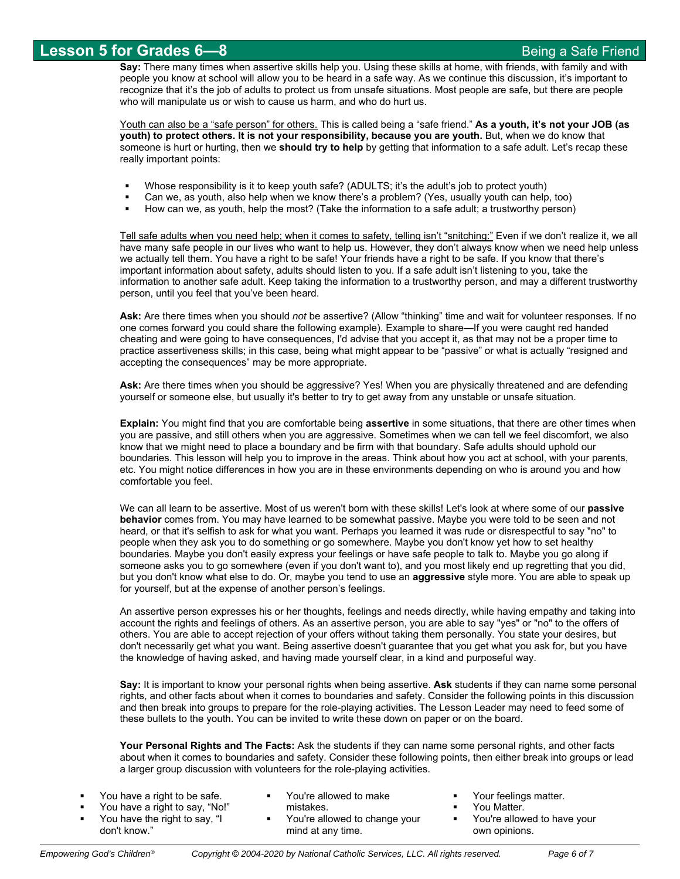**Say:** There many times when assertive skills help you. Using these skills at home, with friends, with family and with people you know at school will allow you to be heard in a safe way. As we continue this discussion, it's important to recognize that it's the job of adults to protect us from unsafe situations. Most people are safe, but there are people who will manipulate us or wish to cause us harm, and who do hurt us.

Youth can also be a "safe person" for others. This is called being a "safe friend." **As a youth, it's not your JOB (as youth) to protect others. It is not your responsibility, because you are youth.** But, when we do know that someone is hurt or hurting, then we **should try to help** by getting that information to a safe adult. Let's recap these really important points:

- Whose responsibility is it to keep youth safe? (ADULTS; it's the adult's job to protect youth)
- Can we, as youth, also help when we know there's a problem? (Yes, usually youth can help, too)
- How can we, as youth, help the most? (Take the information to a safe adult; a trustworthy person)

Tell safe adults when you need help; when it comes to safety, telling isn't "snitching:" Even if we don't realize it, we all have many safe people in our lives who want to help us. However, they don't always know when we need help unless we actually tell them. You have a right to be safe! Your friends have a right to be safe. If you know that there's important information about safety, adults should listen to you. If a safe adult isn't listening to you, take the information to another safe adult. Keep taking the information to a trustworthy person, and may a different trustworthy person, until you feel that you've been heard.

**Ask:** Are there times when you should *not* be assertive? (Allow "thinking" time and wait for volunteer responses. If no one comes forward you could share the following example). Example to share—If you were caught red handed cheating and were going to have consequences, I'd advise that you accept it, as that may not be a proper time to practice assertiveness skills; in this case, being what might appear to be "passive" or what is actually "resigned and accepting the consequences" may be more appropriate.

**Ask:** Are there times when you should be aggressive? Yes! When you are physically threatened and are defending yourself or someone else, but usually it's better to try to get away from any unstable or unsafe situation.

**Explain:** You might find that you are comfortable being **assertive** in some situations, that there are other times when you are passive, and still others when you are aggressive. Sometimes when we can tell we feel discomfort, we also know that we might need to place a boundary and be firm with that boundary. Safe adults should uphold our boundaries. This lesson will help you to improve in the areas. Think about how you act at school, with your parents, etc. You might notice differences in how you are in these environments depending on who is around you and how comfortable you feel.

We can all learn to be assertive. Most of us weren't born with these skills! Let's look at where some of our **passive behavior** comes from. You may have learned to be somewhat passive. Maybe you were told to be seen and not heard, or that it's selfish to ask for what you want. Perhaps you learned it was rude or disrespectful to say "no" to people when they ask you to do something or go somewhere. Maybe you don't know yet how to set healthy boundaries. Maybe you don't easily express your feelings or have safe people to talk to. Maybe you go along if someone asks you to go somewhere (even if you don't want to), and you most likely end up regretting that you did, but you don't know what else to do. Or, maybe you tend to use an **aggressive** style more. You are able to speak up for yourself, but at the expense of another person's feelings.

An assertive person expresses his or her thoughts, feelings and needs directly, while having empathy and taking into account the rights and feelings of others. As an assertive person, you are able to say "yes" or "no" to the offers of others. You are able to accept rejection of your offers without taking them personally. You state your desires, but don't necessarily get what you want. Being assertive doesn't guarantee that you get what you ask for, but you have the knowledge of having asked, and having made yourself clear, in a kind and purposeful way.

**Say:** It is important to know your personal rights when being assertive. **Ask** students if they can name some personal rights, and other facts about when it comes to boundaries and safety. Consider the following points in this discussion and then break into groups to prepare for the role-playing activities. The Lesson Leader may need to feed some of these bullets to the youth. You can be invited to write these down on paper or on the board.

**Your Personal Rights and The Facts:** Ask the students if they can name some personal rights, and other facts about when it comes to boundaries and safety. Consider these following points, then either break into groups or lead a larger group discussion with volunteers for the role-playing activities.

| You have a right to be safe.                                    | You're allowed to make                     | Your feelings matter.<br>You Matter. |
|-----------------------------------------------------------------|--------------------------------------------|--------------------------------------|
| You have a right to say, "No!"<br>You have the right to say, "I | mistakes.<br>You're allowed to change your | You're allowed to have your          |
| don't know."                                                    | mind at any time.                          | own opinions.                        |